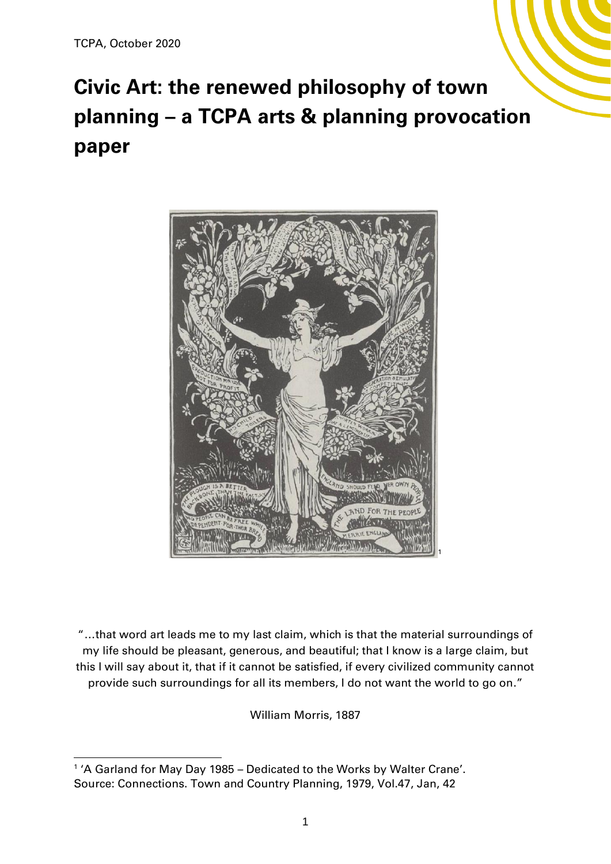# **Civic Art: the renewed philosophy of town planning – a TCPA arts & planning provocation paper**



"…that word art leads me to my last claim, which is that the material surroundings of my life should be pleasant, generous, and beautiful; that I know is a large claim, but this I will say about it, that if it cannot be satisfied, if every civilized community cannot provide such surroundings for all its members, I do not want the world to go on."

William Morris, 1887

<sup>&</sup>lt;sup>1</sup>'A Garland for May Day 1985 – Dedicated to the Works by Walter Crane'. Source: Connections. Town and Country Planning, 1979, Vol.47, Jan, 42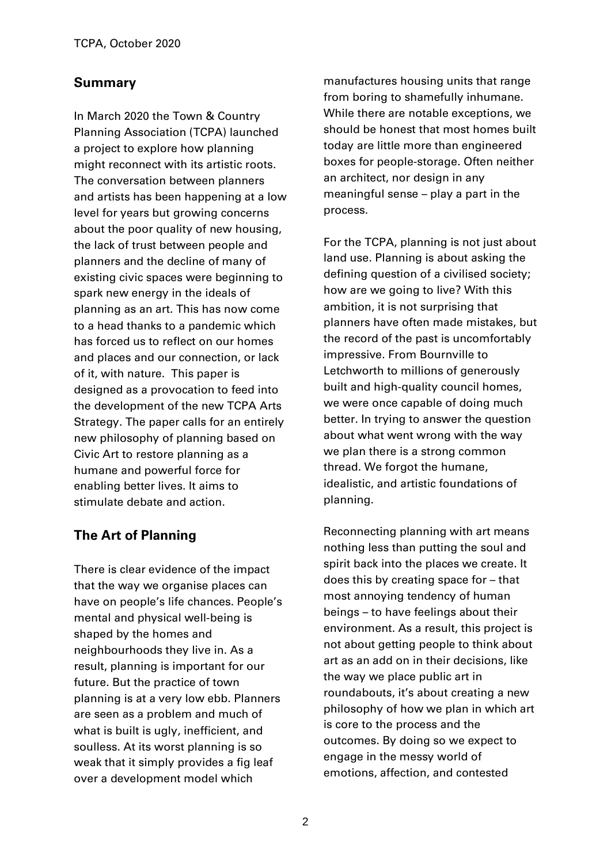## **Summary**

In March 2020 the Town & Country Planning Association (TCPA) launched a project to explore how planning might reconnect with its artistic roots. The conversation between planners and artists has been happening at a low level for years but growing concerns about the poor quality of new housing, the lack of trust between people and planners and the decline of many of existing civic spaces were beginning to spark new energy in the ideals of planning as an art. This has now come to a head thanks to a pandemic which has forced us to reflect on our homes and places and our connection, or lack of it, with nature. This paper is designed as a provocation to feed into the development of the new TCPA Arts Strategy. The paper calls for an entirely new philosophy of planning based on Civic Art to restore planning as a humane and powerful force for enabling better lives. It aims to stimulate debate and action.

## **The Art of Planning**

There is clear evidence of the impact that the way we organise places can have on people's life chances. People's mental and physical well-being is shaped by the homes and neighbourhoods they live in. As a result, planning is important for our future. But the practice of town planning is at a very low ebb. Planners are seen as a problem and much of what is built is ugly, inefficient, and soulless. At its worst planning is so weak that it simply provides a fig leaf over a development model which

manufactures housing units that range from boring to shamefully inhumane. While there are notable exceptions, we should be honest that most homes built today are little more than engineered boxes for people-storage. Often neither an architect, nor design in any meaningful sense – play a part in the process.

For the TCPA, planning is not just about land use. Planning is about asking the defining question of a civilised society; how are we going to live? With this ambition, it is not surprising that planners have often made mistakes, but the record of the past is uncomfortably impressive. From Bournville to Letchworth to millions of generously built and high-quality council homes, we were once capable of doing much better. In trying to answer the question about what went wrong with the way we plan there is a strong common thread. We forgot the humane, idealistic, and artistic foundations of planning.

Reconnecting planning with art means nothing less than putting the soul and spirit back into the places we create. It does this by creating space for – that most annoying tendency of human beings – to have feelings about their environment. As a result, this project is not about getting people to think about art as an add on in their decisions, like the way we place public art in roundabouts, it's about creating a new philosophy of how we plan in which art is core to the process and the outcomes. By doing so we expect to engage in the messy world of emotions, affection, and contested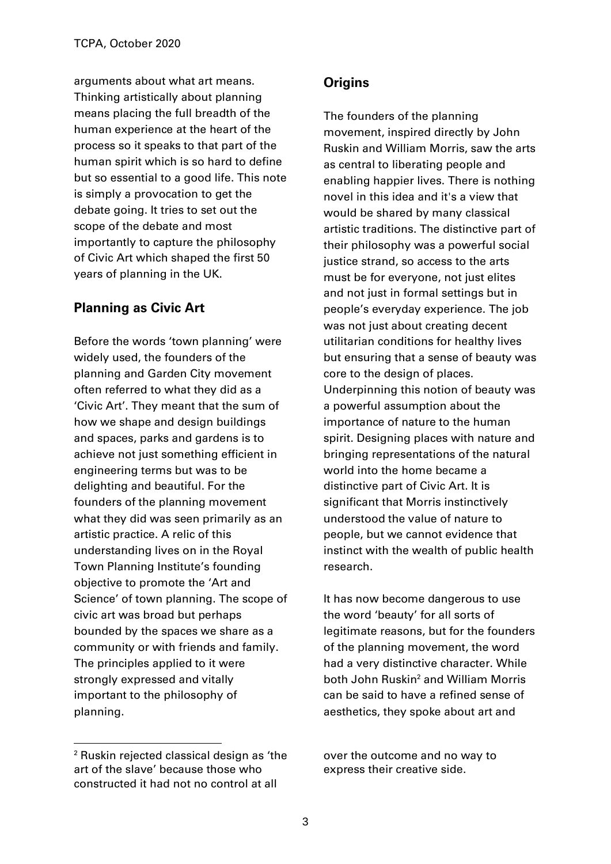arguments about what art means. Thinking artistically about planning means placing the full breadth of the human experience at the heart of the process so it speaks to that part of the human spirit which is so hard to define but so essential to a good life. This note is simply a provocation to get the debate going. It tries to set out the scope of the debate and most importantly to capture the philosophy of Civic Art which shaped the first 50 years of planning in the UK.

#### **Planning as Civic Art**

Before the words 'town planning' were widely used, the founders of the planning and Garden City movement often referred to what they did as a 'Civic Art'. They meant that the sum of how we shape and design buildings and spaces, parks and gardens is to achieve not just something efficient in engineering terms but was to be delighting and beautiful. For the founders of the planning movement what they did was seen primarily as an artistic practice. A relic of this understanding lives on in the Royal Town Planning Institute's founding objective to promote the 'Art and Science' of town planning. The scope of civic art was broad but perhaps bounded by the spaces we share as a community or with friends and family. The principles applied to it were strongly expressed and vitally important to the philosophy of planning.

#### **Origins**

The founders of the planning movement, inspired directly by John Ruskin and William Morris, saw the arts as central to liberating people and enabling happier lives. There is nothing novel in this idea and it's a view that would be shared by many classical artistic traditions. The distinctive part of their philosophy was a powerful social justice strand, so access to the arts must be for everyone, not just elites and not just in formal settings but in people's everyday experience. The job was not just about creating decent utilitarian conditions for healthy lives but ensuring that a sense of beauty was core to the design of places. Underpinning this notion of beauty was a powerful assumption about the importance of nature to the human spirit. Designing places with nature and bringing representations of the natural world into the home became a distinctive part of Civic Art. It is significant that Morris instinctively understood the value of nature to people, but we cannot evidence that instinct with the wealth of public health research.

It has now become dangerous to use the word 'beauty' for all sorts of legitimate reasons, but for the founders of the planning movement, the word had a very distinctive character. While both John Ruskin<sup>2</sup> and William Morris can be said to have a refined sense of aesthetics, they spoke about art and

over the outcome and no way to express their creative side.

<sup>2</sup> Ruskin rejected classical design as 'the art of the slave' because those who constructed it had not no control at all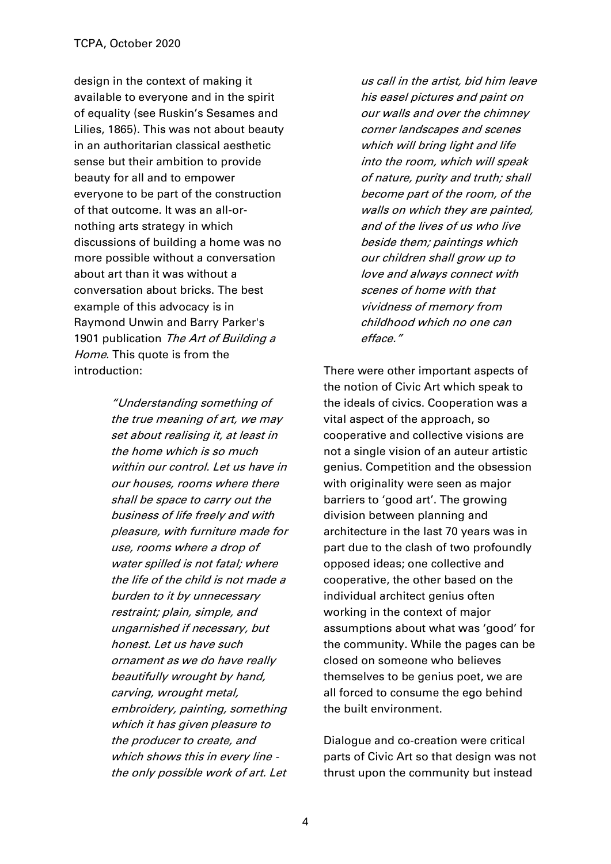design in the context of making it available to everyone and in the spirit of equality (see Ruskin's Sesames and Lilies, 1865). This was not about beauty in an authoritarian classical aesthetic sense but their ambition to provide beauty for all and to empower everyone to be part of the construction of that outcome. It was an all-ornothing arts strategy in which discussions of building a home was no more possible without a conversation about art than it was without a conversation about bricks. The best example of this advocacy is in Raymond Unwin and Barry Parker's 1901 publication The Art of Building a Home. This quote is from the introduction:

> "Understanding something of the true meaning of art, we may set about realising it, at least in the home which is so much within our control. Let us have in our houses, rooms where there shall be space to carry out the business of life freely and with pleasure, with furniture made for use, rooms where a drop of water spilled is not fatal; where the life of the child is not made a burden to it by unnecessary restraint; plain, simple, and ungarnished if necessary, but honest. Let us have such ornament as we do have really beautifully wrought by hand, carving, wrought metal, embroidery, painting, something which it has given pleasure to the producer to create, and which shows this in every line the only possible work of art. Let

us call in the artist, bid him leave his easel pictures and paint on our walls and over the chimney corner landscapes and scenes which will bring light and life into the room, which will speak of nature, purity and truth; shall become part of the room, of the walls on which they are painted, and of the lives of us who live beside them; paintings which our children shall grow up to love and always connect with scenes of home with that vividness of memory from childhood which no one can efface."

There were other important aspects of the notion of Civic Art which speak to the ideals of civics. Cooperation was a vital aspect of the approach, so cooperative and collective visions are not a single vision of an auteur artistic genius. Competition and the obsession with originality were seen as major barriers to 'good art'. The growing division between planning and architecture in the last 70 years was in part due to the clash of two profoundly opposed ideas; one collective and cooperative, the other based on the individual architect genius often working in the context of major assumptions about what was 'good' for the community. While the pages can be closed on someone who believes themselves to be genius poet, we are all forced to consume the ego behind the built environment.

Dialogue and co-creation were critical parts of Civic Art so that design was not thrust upon the community but instead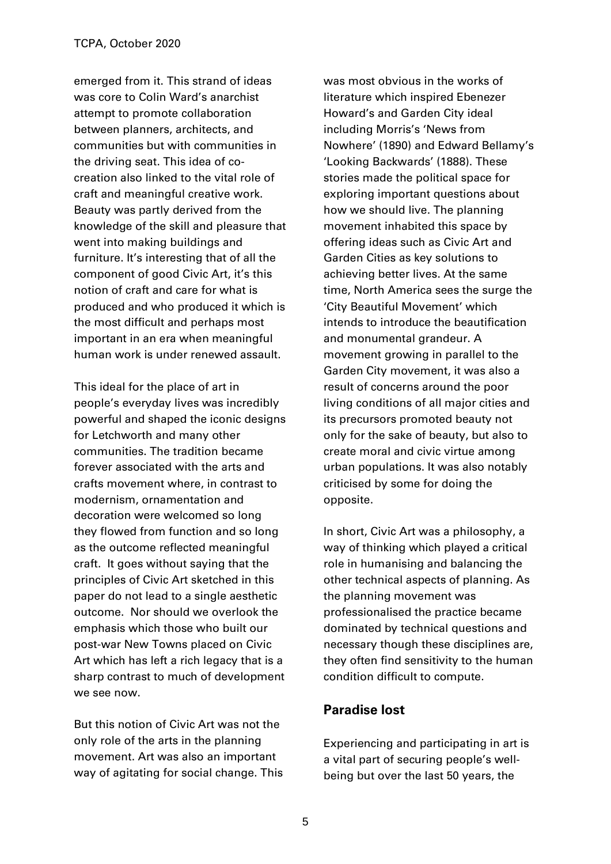emerged from it. This strand of ideas was core to Colin Ward's anarchist attempt to promote collaboration between planners, architects, and communities but with communities in the driving seat. This idea of cocreation also linked to the vital role of craft and meaningful creative work. Beauty was partly derived from the knowledge of the skill and pleasure that went into making buildings and furniture. It's interesting that of all the component of good Civic Art, it's this notion of craft and care for what is produced and who produced it which is the most difficult and perhaps most important in an era when meaningful human work is under renewed assault.

This ideal for the place of art in people's everyday lives was incredibly powerful and shaped the iconic designs for Letchworth and many other communities. The tradition became forever associated with the arts and crafts movement where, in contrast to modernism, ornamentation and decoration were welcomed so long they flowed from function and so long as the outcome reflected meaningful craft. It goes without saying that the principles of Civic Art sketched in this paper do not lead to a single aesthetic outcome. Nor should we overlook the emphasis which those who built our post-war New Towns placed on Civic Art which has left a rich legacy that is a sharp contrast to much of development we see now.

But this notion of Civic Art was not the only role of the arts in the planning movement. Art was also an important way of agitating for social change. This was most obvious in the works of literature which inspired Ebenezer Howard's and Garden City ideal including Morris's 'News from Nowhere' (1890) and Edward Bellamy's 'Looking Backwards' (1888). These stories made the political space for exploring important questions about how we should live. The planning movement inhabited this space by offering ideas such as Civic Art and Garden Cities as key solutions to achieving better lives. At the same time, North America sees the surge the 'City Beautiful Movement' which intends to introduce the beautification and monumental grandeur. A movement growing in parallel to the Garden City movement, it was also a result of concerns around the poor living conditions of all major cities and its precursors promoted beauty not only for the sake of beauty, but also to create moral and civic virtue among urban populations. It was also notably criticised by some for doing the opposite.

In short, Civic Art was a philosophy, a way of thinking which played a critical role in humanising and balancing the other technical aspects of planning. As the planning movement was professionalised the practice became dominated by technical questions and necessary though these disciplines are, they often find sensitivity to the human condition difficult to compute.

#### **Paradise lost**

Experiencing and participating in art is a vital part of securing people's wellbeing but over the last 50 years, the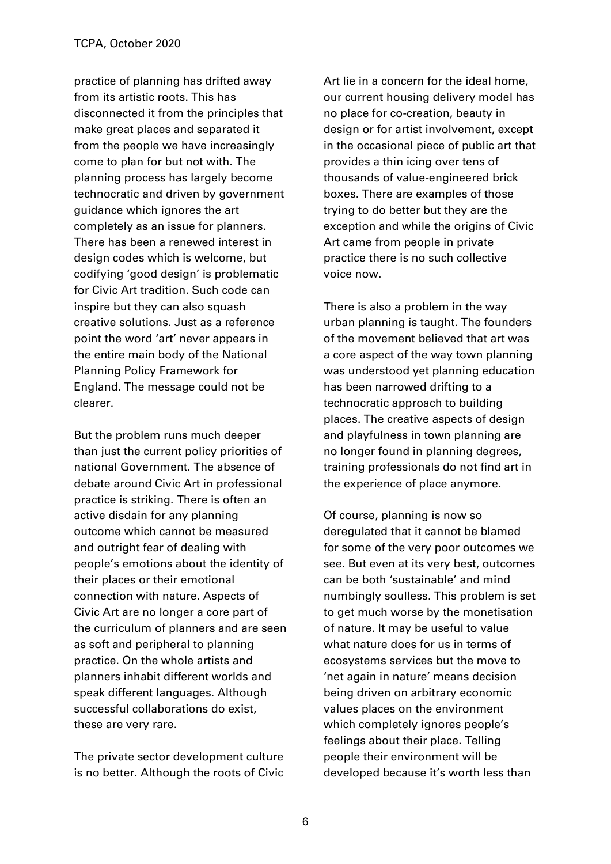practice of planning has drifted away from its artistic roots. This has disconnected it from the principles that make great places and separated it from the people we have increasingly come to plan for but not with. The planning process has largely become technocratic and driven by government guidance which ignores the art completely as an issue for planners. There has been a renewed interest in design codes which is welcome, but codifying 'good design' is problematic for Civic Art tradition. Such code can inspire but they can also squash creative solutions. Just as a reference point the word 'art' never appears in the entire main body of the National Planning Policy Framework for England. The message could not be clearer.

But the problem runs much deeper than just the current policy priorities of national Government. The absence of debate around Civic Art in professional practice is striking. There is often an active disdain for any planning outcome which cannot be measured and outright fear of dealing with people's emotions about the identity of their places or their emotional connection with nature. Aspects of Civic Art are no longer a core part of the curriculum of planners and are seen as soft and peripheral to planning practice. On the whole artists and planners inhabit different worlds and speak different languages. Although successful collaborations do exist, these are very rare.

The private sector development culture is no better. Although the roots of Civic Art lie in a concern for the ideal home, our current housing delivery model has no place for co-creation, beauty in design or for artist involvement, except in the occasional piece of public art that provides a thin icing over tens of thousands of value-engineered brick boxes. There are examples of those trying to do better but they are the exception and while the origins of Civic Art came from people in private practice there is no such collective voice now.

There is also a problem in the way urban planning is taught. The founders of the movement believed that art was a core aspect of the way town planning was understood yet planning education has been narrowed drifting to a technocratic approach to building places. The creative aspects of design and playfulness in town planning are no longer found in planning degrees, training professionals do not find art in the experience of place anymore.

Of course, planning is now so deregulated that it cannot be blamed for some of the very poor outcomes we see. But even at its very best, outcomes can be both 'sustainable' and mind numbingly soulless. This problem is set to get much worse by the monetisation of nature. It may be useful to value what nature does for us in terms of ecosystems services but the move to 'net again in nature' means decision being driven on arbitrary economic values places on the environment which completely ignores people's feelings about their place. Telling people their environment will be developed because it's worth less than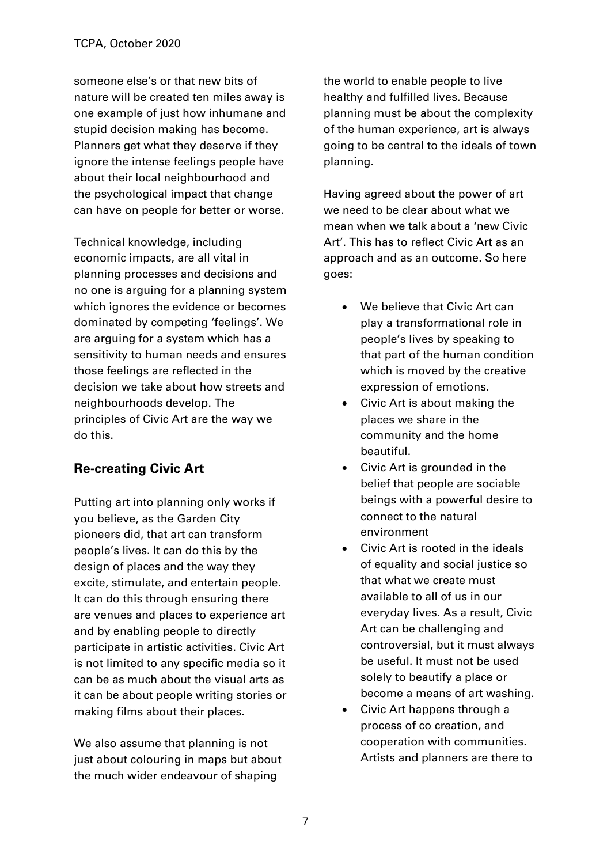someone else's or that new bits of nature will be created ten miles away is one example of just how inhumane and stupid decision making has become. Planners get what they deserve if they ignore the intense feelings people have about their local neighbourhood and the psychological impact that change can have on people for better or worse.

Technical knowledge, including economic impacts, are all vital in planning processes and decisions and no one is arguing for a planning system which ignores the evidence or becomes dominated by competing 'feelings'. We are arguing for a system which has a sensitivity to human needs and ensures those feelings are reflected in the decision we take about how streets and neighbourhoods develop. The principles of Civic Art are the way we do this.

## **Re-creating Civic Art**

Putting art into planning only works if you believe, as the Garden City pioneers did, that art can transform people's lives. It can do this by the design of places and the way they excite, stimulate, and entertain people. It can do this through ensuring there are venues and places to experience art and by enabling people to directly participate in artistic activities. Civic Art is not limited to any specific media so it can be as much about the visual arts as it can be about people writing stories or making films about their places.

We also assume that planning is not just about colouring in maps but about the much wider endeavour of shaping

the world to enable people to live healthy and fulfilled lives. Because planning must be about the complexity of the human experience, art is always going to be central to the ideals of town planning.

Having agreed about the power of art we need to be clear about what we mean when we talk about a 'new Civic Art'. This has to reflect Civic Art as an approach and as an outcome. So here goes:

- We believe that Civic Art can play a transformational role in people's lives by speaking to that part of the human condition which is moved by the creative expression of emotions.
- Civic Art is about making the places we share in the community and the home beautiful.
- Civic Art is grounded in the belief that people are sociable beings with a powerful desire to connect to the natural environment
- Civic Art is rooted in the ideals of equality and social justice so that what we create must available to all of us in our everyday lives. As a result, Civic Art can be challenging and controversial, but it must always be useful. It must not be used solely to beautify a place or become a means of art washing.
- Civic Art happens through a process of co creation, and cooperation with communities. Artists and planners are there to